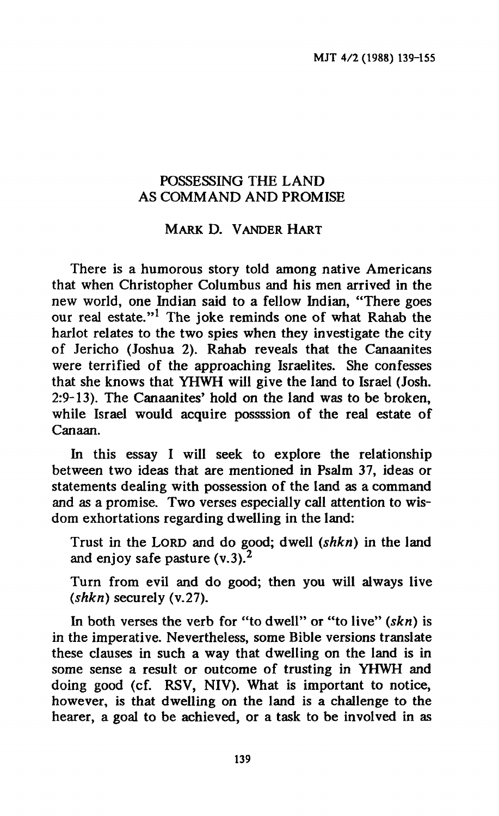#### **POSSESSING THE LAND AS COMMAND AND PROMISE**

# **MARK D. VANDER HART**

**There is a humorous story told among native Americans that when Christopher Columbus and his men arrived in the new world, one Indian said to a fellow Indian, "There goes our real estate."<sup>1</sup> The joke reminds one of what Rahab the harlot relates to the two spies when they investigate the city of Jericho (Joshua 2). Rahab reveals that the Canaanites were terrified of the approaching Israelites. She confesses that she knows that YHWH will give the land to Israel (Josh. 2:9-13). The Canaanites' hold on the land was to be broken, while Israel would acquire possssion of the real estate of Canaan.** 

**In this essay I will seek to explore the relationship between two ideas that are mentioned in Psalm 37, ideas or statements dealing with possession of the land as a command and as a promise. Two verses especially call attention to wisdom exhortations regarding dwelling in the land:** 

**Trust in the LORD and do good; dwell** *(shkn)* **in the land and enjoy safe pasture (v.3).<sup>2</sup>**

**Turn from evil and do good; then you will always live**  *(shkn)* **securely (v.27).** 

**In both verses the verb for "to dwell" or "to live"** *(skn)* **is in the imperative. Nevertheless, some Bible versions translate these clauses in such a way that dwelling on the land is in some sense a result or outcome of trusting in YHWH and doing good (cf. RSV, NIV). What is important to notice, however, is that dwelling on the land is a challenge to the hearer, a goal to be achieved, or a task to be involved in as**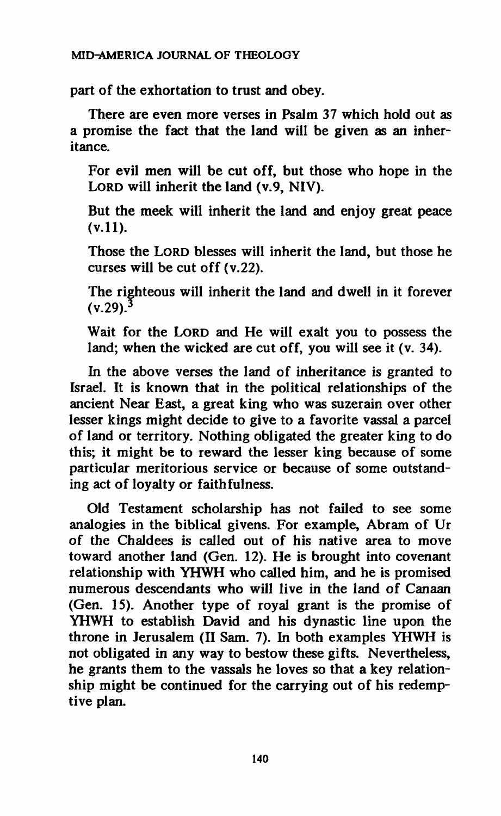**part of the exhortation to trust and obey.** 

**There are even more verses in Psalm 37 which hold out as a promise the fact that the land will be given as an inheritance.** 

**For evil men will be cut off, but those who hope in the LORD will inherit the land (v.9, NIV).** 

**But the meek will inherit the land and enjoy great peace (v.ll).** 

**Those the LORD blesses will inherit the land, but those he curses will be cut off (v.22).** 

**The righteous will inherit the land and dwell in it forever (V.29).<sup>3</sup>**

**Wait for the LORD and He will exalt you to possess the land; when the wicked are cut off, you will see it (v. 34).** 

**In the above verses the land of inheritance is granted to Israel. It is known that in the political relationships of the ancient Near East, a great king who was suzerain over other lesser kings might decide to give to a favorite vassal a parcel of land or territory. Nothing obligated the greater king to do this; it might be to reward the lesser king because of some particular meritorious service or because of some outstanding act of loyalty or faithfulness.** 

**Old Testament scholarship has not failed to see some analogies in the biblical givens. For example, Abram of Ur of the Chaldees is called out of his native area to move toward another land (Gen. 12). He is brought into covenant relationship with YHWH who called him, and he is promised numerous descendants who will live in the land of Canaan (Gen. 15). Another type of royal grant is the promise of YHWH to establish David and his dynastic line upon the throne in Jerusalem (II Sam. 7). In both examples YHWH is not obligated in any way to bestow these gifts. Nevertheless, he grants them to the vassals he loves so that a key relationship might be continued for the carrying out of his redemptive plan.**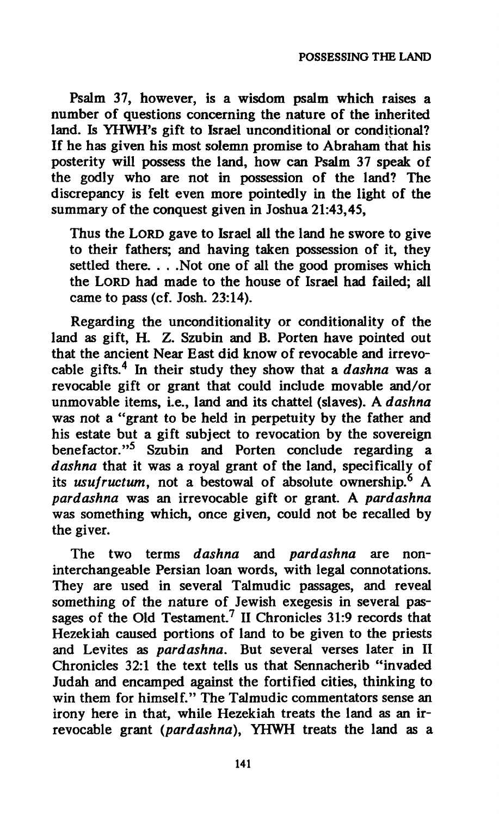**Psalm 37, however, is a wisdom psalm which raises a number of questions concerning the nature of the inherited land. Is YHWH's gift to Israel unconditional or conditional? If he has given his most solemn promise to Abraham that his posterity will possess the land, how can Psalm 37 speak of the godly who are not in possession of the land? The discrepancy is felt even more pointedly in the light of the summary of the conquest given in Joshua 21:43,45,** 

**Thus the LORD gave to Israel all the land he swore to give to their fathers; and having taken possession of it, they settled there. . . .Not one of all the good promises which the LORD had made to the house of Israel had failed; all came to pass (cf. Josh. 23:14).** 

**Regarding the unconditionally or conditionality of the land as gift, H. Z. Szubin and B. Porten have pointed out that the ancient Near East did know of revocable and irrevocable gifts.<sup>4</sup> In their study they show that a** *dashna* **was a revocable gift or grant that could include movable and/or unmovable items, i.e., land and its chattel (slaves). A** *dashna*  **was not a "grant to be held in perpetuity by the father and his estate but a gift subject to revocation by the sovereign benefactor."<sup>5</sup> Szubin and Porten conclude regarding a**  *dashna* **that it was a royal grant of the land, specifically of its** *usufructum,* **not a bestowal of absolute ownership.<sup>6</sup> A**  *par dashna* **was an irrevocable gift or grant. A** *par dashna*  **was something which, once given, could not be recalled by the giver.** 

**The two terms** *dashna* **and** *pardashna* **are noninterchangeable Persian loan words, with legal connotations. They are used in several Talmudic passages, and reveal something of the nature of Jewish exegesis in several passages of the Old Testament.<sup>7</sup> II Chronicles 31:9 records that Hezekiah caused portions of land to be given to the priests and Lévites as** *pardashna.* **But several verses later in II Chronicles 32:1 the text tells us that Sennacherib "invaded Judah and encamped against the fortified cities, thinking to win them for himself." The Talmudic commentators sense an irony here in that, while Hezekiah treats the land as an irrevocable grant** *(pardashna),* **YHWH treats the land as a**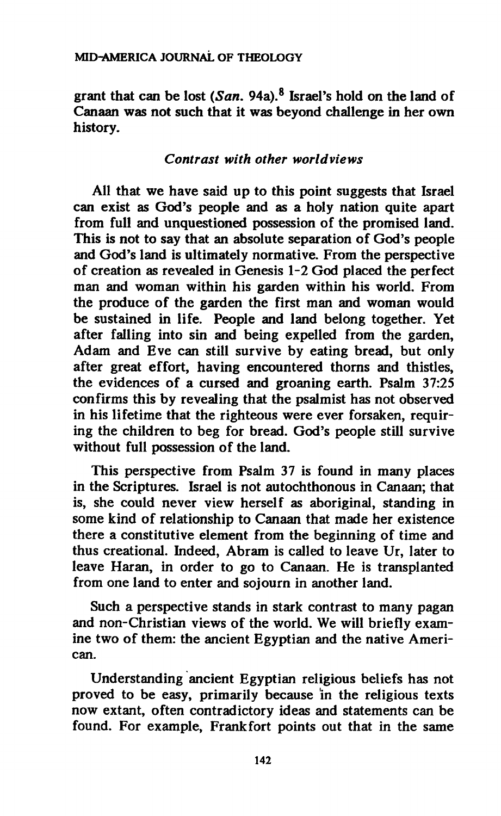**grant that can be lost** *(San.* **94a).<sup>8</sup> Israel's hold on the land of Canaan was not such that it was beyond challenge in her own history.** 

### *Contrast with other worldviews*

**All that we have said up to this point suggests that Israel can exist as God's people and as a holy nation quite apart from full and unquestioned possession of the promised land. This is not to say that an absolute separation of God's people and God's land is ultimately normative. From the perspective of creation as revealed in Genesis 1-2 God placed the perfect man and woman within his garden within his world. From the produce of the garden the first man and woman would be sustained in life. People and land belong together. Yet after falling into sin and being expelled from the garden, Adam and Eve can still survive by eating bread, but only after great effort, having encountered thorns and thistles, the evidences of a cursed and groaning earth. Psalm 37:25 confirms this by revealing that the psalmist has not observed in his lifetime that the righteous were ever forsaken, requiring the children to beg for bread. God's people still survive without full possession of the land.** 

**This perspective from Psalm 37 is found in many places in the Scriptures. Israel is not autochthonous in Canaan; that is, she could never view herself as aboriginal, standing in some kind of relationship to Canaan that made her existence there a constitutive element from the beginning of time and thus creational. Indeed, Abram is called to leave Ur, later to leave Haran, in order to go to Canaan. He is transplanted from one land to enter and sojourn in another land.** 

**Such a perspective stands in stark contrast to many pagan and non-Christian views of the world. We will briefly examine two of them: the ancient Egyptian and the native American.** 

**Understanding ancient Egyptian religious beliefs has not proved to be easy, primarily because in the religious texts now extant, often contradictory ideas and statements can be found. For example, Frankfort points out that in the same**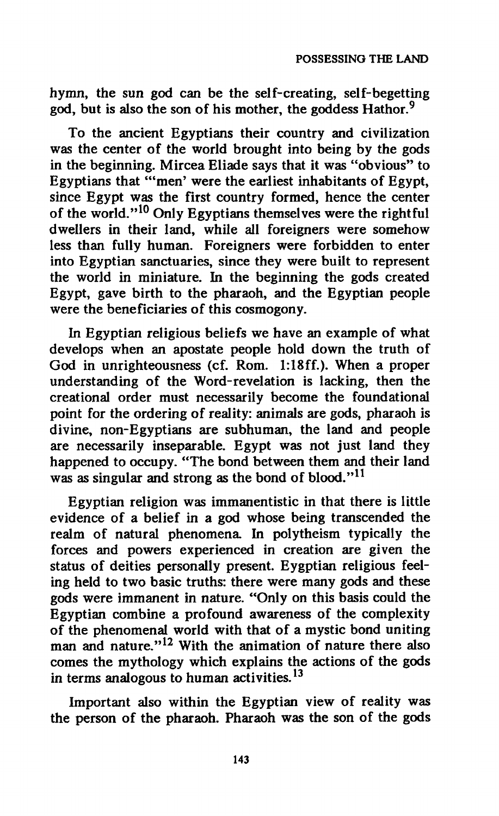**hymn, the sun god can be the self-creating, self-begetting god, but is also the son of his mother, the goddess Hathor.<sup>9</sup>**

**To the ancient Egyptians their country and civilization was the center of the world brought into being by the gods in the beginning. Mircea Eliade says that it was "obvious" to Egyptians that "'men' were the earliest inhabitants of Egypt, since Egypt was the first country formed, hence the center of the world."<sup>10</sup> Only Egyptians themselves were the rightful dwellers in their land, while all foreigners were somehow less than fully human. Foreigners were forbidden to enter into Egyptian sanctuaries, since they were built to represent the world in miniature. In the beginning the gods created Egypt, gave birth to the pharaoh, and the Egyptian people were the beneficiaries of this cosmogony.** 

**In Egyptian religious beliefs we have an example of what develops when an apostate people hold down the truth of God in unrighteousness (cf. Rom. 1:18ff.). When a proper understanding of the Word-revelation is lacking, then the creational order must necessarily become the foundational point for the ordering of reality: animals are gods, pharaoh is divine, non-Egyptians are subhuman, the land and people are necessarily inseparable. Egypt was not just land they happened to occupy. "The bond between them and their land was as singular and strong as the bond of blood."<sup>11</sup>**

**Egyptian religion was immanentistic in that there is little evidence of a belief in a god whose being transcended the realm of natural phenomena. In polytheism typically the forces and powers experienced in creation are given the status of deities personally present. Eygptian religious feeling held to two basic truths: there were many gods and these gods were immanent in nature. "Only on this basis could the Egyptian combine a profound awareness of the complexity of the phenomenal world with that of a mystic bond uniting man and nature."<sup>12</sup> With the animation of nature there also comes the mythology which explains the actions of the gods in terms analogous to human activities.<sup>13</sup>**

**Important also within the Egyptian view of reality was the person of the pharaoh. Pharaoh was the son of the gods**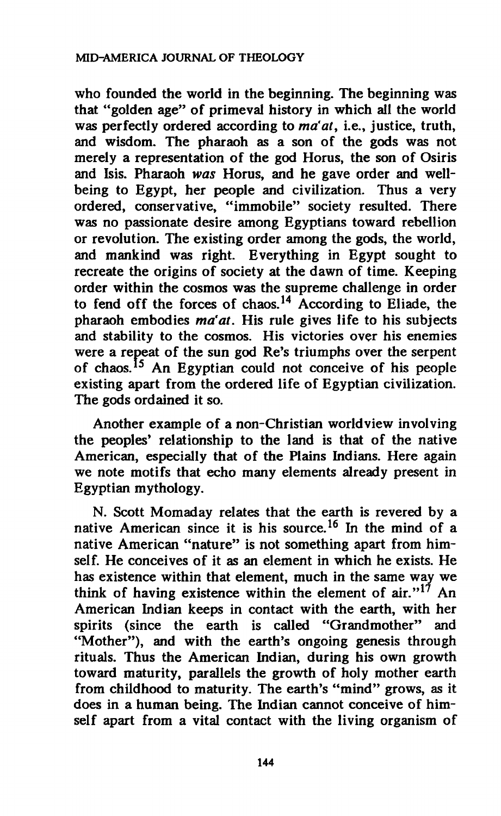**who founded the world in the beginning. The beginning was that "golden age" of primeval history in which all the world was perfectly ordered according to** *ma'at,* **i.e., justice, truth, and wisdom. The pharaoh as a son of the gods was not merely a representation of the god Horus, the son of Osiris and Isis. Pharaoh** *was* **Horus, and he gave order and wellbeing to Egypt, her people and civilization. Thus a very ordered, conservative, "immobile" society resulted. There was no passionate desire among Egyptians toward rebellion or revolution. The existing order among the gods, the world, and mankind was right. Everything in Egypt sought to recreate the origins of society at the dawn of time. Keeping order within the cosmos was the supreme challenge in order to fend off the forces of chaos.<sup>14</sup> According to Eliade, the pharaoh embodies** *ma'at.* **His rule gives life to his subjects and stability to the cosmos. His victories over his enemies were a repeat of the sun god Re's triumphs over the serpent of chaos.<sup>15</sup> An Egyptian could not conceive of his people existing apart from the ordered life of Egyptian civilization. The gods ordained it so.** 

**Another example of a non-Christian worldview involving the peoples' relationship to the land is that of the native American, especially that of the Plains Indians. Here again we note motifs that echo many elements already present in Egyptian mythology.** 

**N. Scott Momaday relates that the earth is revered by a native American since it is his source.<sup>16</sup> In the mind of a native American "nature" is not something apart from himself. He conceives of it as an element in which he exists. He has existence within that element, much in the same way we think of having existence within the element of air."<sup>17</sup> An American Indian keeps in contact with the earth, with her spirits (since the earth is called "Grandmother" and "Mother"), and with the earth's ongoing genesis through rituals. Thus the American Indian, during his own growth toward maturity, parallels the growth of holy mother earth from childhood to maturity. The earth's "mind" grows, as it does in a human being. The Indian cannot conceive of himself apart from a vital contact with the living organism of**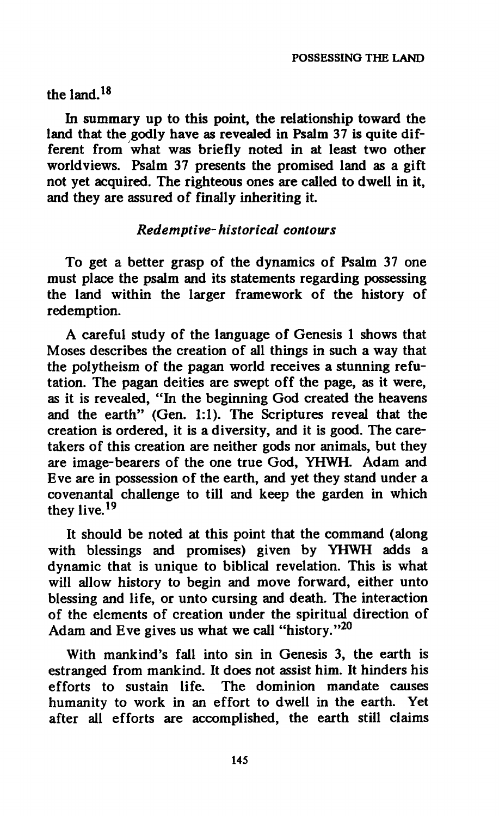## **the land.<sup>18</sup>**

**In summary up to this point, the relationship toward the land that the godly have as revealed in Psalm 37 is quite different from what was briefly noted in at least two other worldviews. Psalm 37 presents the promised land as a gift not yet acquired. The righteous ones are called to dwell in it, and they are assured of finally inheriting it.** 

### *Redemptive-historical contours*

**To get a better grasp of the dynamics of Psalm 37 one must place the psalm and its statements regarding possessing the land within the larger framework of the history of redemption.** 

**A careful study of the language of Genesis 1 shows that Moses describes the creation of all things in such a way that the polytheism of the pagan world receives a stunning refutation. The pagan deities are swept off the page, as it were, as it is revealed, "In the beginning God created the heavens and the earth" (Gen. 1:1). The Scriptures reveal that the creation is ordered, it is a diversity, and it is good. The caretakers of this creation are neither gods nor animals, but they are image-bearers of the one true God, YHWH. Adam and Eve are in possession of the earth, and yet they stand under a covenantal challenge to till and keep the garden in which they live.<sup>19</sup>**

**It should be noted at this point that the command (along with blessings and promises) given by YHWH adds a dynamic that is unique to biblical revelation. This is what will allow history to begin and move forward, either unto blessing and life, or unto cursing and death. The interaction of the elements of creation under the spiritual direction of Adam and Eve gives us what we call "history."<sup>20</sup>**

**With mankind's fall into sin in Genesis 3, the earth is estranged from mankind. It does not assist him. It hinders his efforts to sustain life. The dominion mandate causes humanity to work in an effort to dwell in the earth. Yet after all efforts are accomplished, the earth still claims**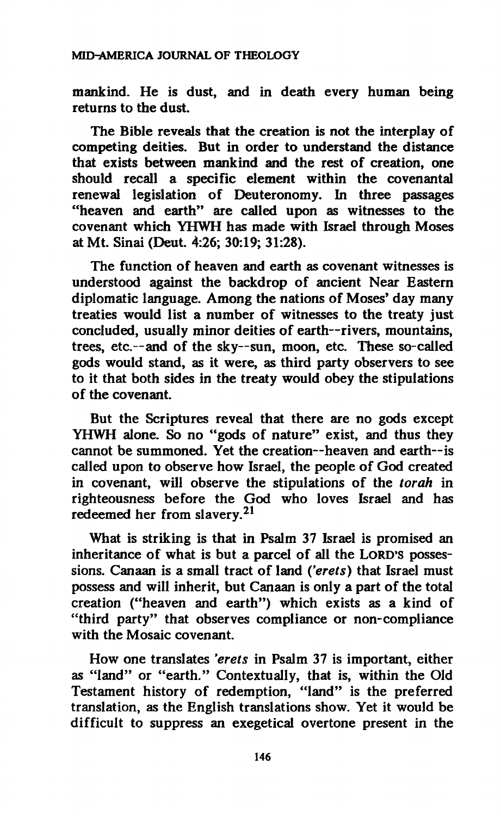**mankind. He is dust, and in death every human being returns to the dust.** 

**The Bible reveals that the creation is not the interplay of competing deities. But in order to understand the distance that exists between mankind and the rest of creation, one should recall a specific element within the covenantal renewal legislation of Deuteronomy. In three passages "heaven and earth" are called upon as witnesses to the covenant which YHWH has made with Israel through Moses at Mt. Sinai (Deut. 4:26; 30:19; 31:28).** 

**The function of heaven and earth as covenant witnesses is understood against the backdrop of ancient Near Eastern diplomatic language. Among the nations of Moses' day many treaties would list a number of witnesses to the treaty just concluded, usually minor deities of earth—rivers, mountains, trees, etc.—and of the sky—sun, moon, etc. These so-called gods would stand, as it were, as third party observers to see to it that both sides in the treaty would obey the stipulations of the covenant.** 

**But the Scriptures reveal that there are no gods except YHWH alone. So no "gods of nature" exist, and thus they cannot be summoned. Yet the creation—heaven and earth—is called upon to observe how Israel, the people of God created in covenant, will observe the stipulations of the** *torah* **in righteousness before the God who loves Israel and has redeemed her from slavery.<sup>21</sup>**

**What is striking is that in Psalm 37 Israel is promised an inheritance of what is but a parcel of all the LORD'S possessions. Canaan is a small tract of land** *Çerets)* **that Israel must possess and will inherit, but Canaan is only a part of the total creation ("heaven and earth") which exists as a kind of "third party" that observes compliance or non-compliance with the Mosaic covenant.** 

**How one translates** *'erets* **in Psalm 37 is important, either as "land" or "earth." Contextually, that is, within the Old Testament history of redemption, "land" is the preferred translation, as the English translations show. Yet it would be difficult to suppress an exegetical overtone present in the**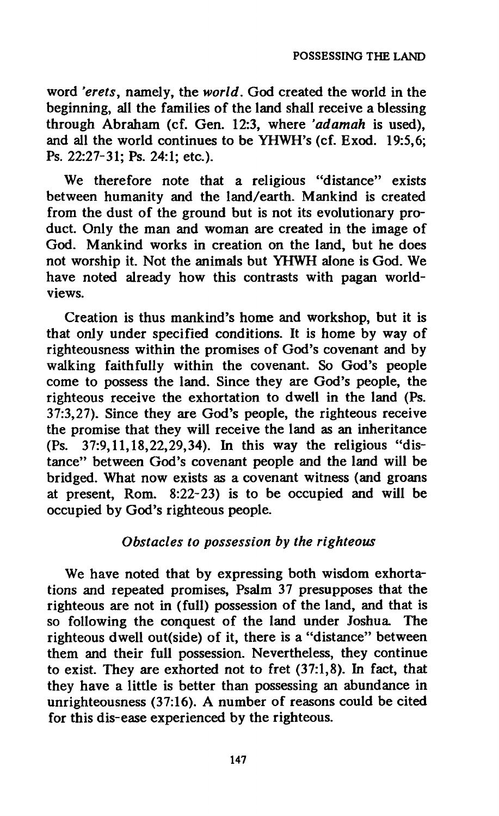**word** *'erets,* **namely, the** *world.* **God created the world in the beginning, all the families of the land shall receive a blessing through Abraham (cf. Gen. 12:3, where** *'adamah* **is used), and all the world continues to be YHWH's (cf. Exod. 19:5,6; Ps. 22:27-31; Ps. 24:1; etc.).** 

**We therefore note that a religious "distance" exists between humanity and the land/earth. Mankind is created from the dust of the ground but is not its evolutionary product. Only the man and woman are created in the image of God. Mankind works in creation on the land, but he does not worship it. Not the animals but YHWH alone is God. We have noted already how this contrasts with pagan worldviews.** 

**Creation is thus mankind's home and workshop, but it is that only under specified conditions. It is home by way of righteousness within the promises of God's covenant and by walking faithfully within the covenant. So God's people come to possess the land. Since they are God's people, the righteous receive the exhortation to dwell in the land (Ps. 37:3,27). Since they are God's people, the righteous receive the promise that they will receive the land as an inheritance (Ps. 37:9,11,18,22,29,34). In this way the religious "distance" between God's covenant people and the land will be bridged. What now exists as a covenant witness (and groans at present, Rom. 8:22-23) is to be occupied and will be occupied by God's righteous people.** 

### *Obstacles to possession by the righteous*

**We have noted that by expressing both wisdom exhortations and repeated promises, Psalm 37 presupposes that the righteous are not in (full) possession of the land, and that is so following the conquest of the land under Joshua The righteous dwell out(side) of it, there is a "distance" between them and their full possession. Nevertheless, they continue to exist. They are exhorted not to fret (37:1,8). In fact, that they have a little is better than possessing an abundance in unrighteousness (37:16). A number of reasons could be cited for this dis-ease experienced by the righteous.**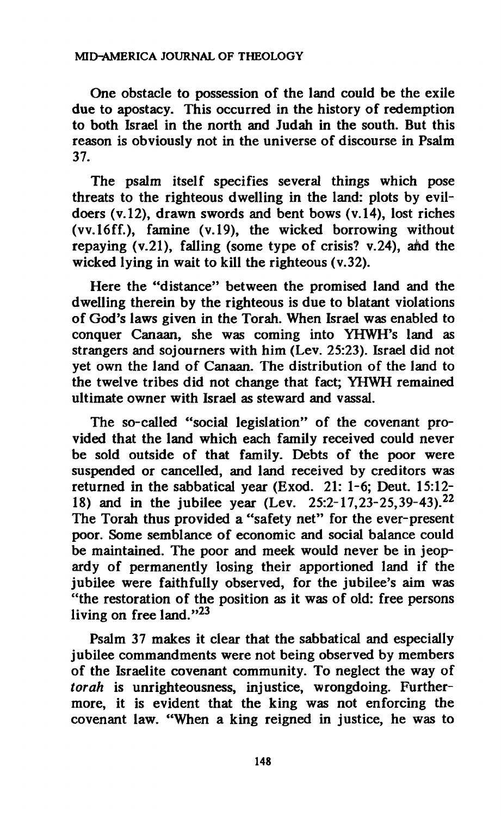**One obstacle to possession of the land could be the exile due to apostacy. This occurred in the history of redemption to both Israel in the north and Judah in the south. But this reason is obviously not in the universe of discourse in Psalm 37.** 

**The psalm itself specifies several things which pose threats to the righteous dwelling in the land: plots by evildoers (v. 12), drawn swords and bent bows (v. 14), lost riches (vv.lóff.), famine (v. 19), the wicked borrowing without repaying (v.21), falling (some type of crisis? v.24), aàd the wicked lying in wait to kill the righteous (v.32).** 

**Here the "distance" between the promised land and the dwelling therein by the righteous is due to blatant violations of God's laws given in the Torah. When Israel was enabled to conquer Canaan, she was coming into YHWH's land as strangers and sojourners with him (Lev. 25:23). Israel did not yet own the land of Canaan. The distribution of the land to the twelve tribes did not change that fact; YHWH remained ultimate owner with Israel as steward and vassal.** 

**The so-called "social legislation" of the covenant provided that the land which each family received could never be sold outside of that family. Debts of the poor were suspended or cancelled, and land received by creditors was returned in the sabbatical year (Exod. 21: 1-6; Deut. 15:12- 18) and in the jubilee year (Lev. 25:2-17,23-25,39-43).<sup>22</sup> The Torah thus provided a "safety net" for the ever-present poor. Some semblance of economic and social balance could be maintained. The poor and meek would never be in jeopardy of permanently losing their apportioned land if the jubilee were faithfully observed, for the jubilee's aim was "the restoration of the position as it was of old: free persons living on free land."<sup>23</sup>**

**Psalm 37 makes it clear that the sabbatical and especially jubilee commandments were not being observed by members of the Israelite covenant community. To neglect the way of**  *torah* **is unrighteousness, injustice, wrongdoing. Furthermore, it is evident that the king was not enforcing the covenant law. "When a king reigned in justice, he was to**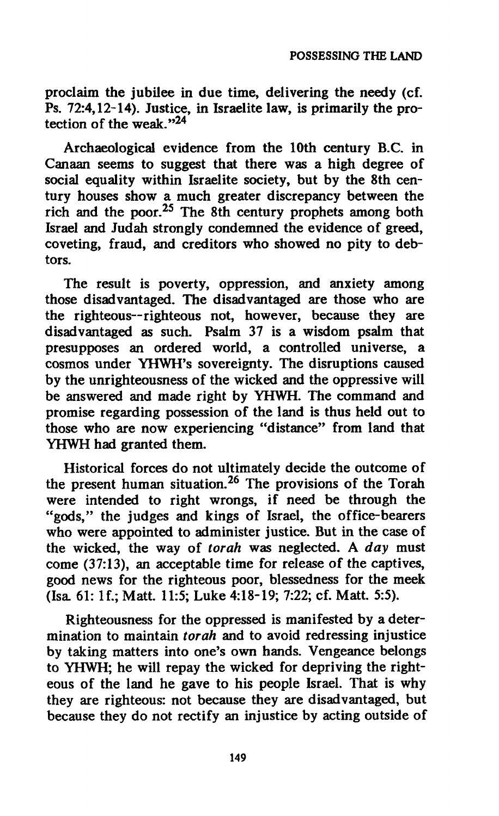**proclaim the jubilee in due time, delivering the needy (cf. Ps. 72:4,12-14). Justice, in Israelite law, is primarily the protection of the weak."<sup>24</sup>**

**Archaeological evidence from the 10th century B.C. in Canaan seems to suggest that there was a high degree of social equality within Israelite society, but by the 8th century houses show a much greater discrepancy between the rich and the poor.<sup>25</sup> The 8th century prophets among both Israel and Judah strongly condemned the evidence of greed, coveting, fraud, and creditors who showed no pity to debtors.** 

**The result is poverty, oppression, and anxiety among those disadvantaged. The disadvantaged are those who are the righteous—righteous not, however, because they are disadvantaged as such. Psalm 37 is a wisdom psalm that presupposes an ordered world, a controlled universe, a cosmos under YHWH's sovereignty. The disruptions caused by the unrighteousness of the wicked and the oppressive will be answered and made right by YHWH. The command and promise regarding possession of the land is thus held out to those who are now experiencing "distance" from land that YHWH had granted them.** 

**Historical forces do not ultimately decide the outcome of the present human situation.<sup>26</sup> The provisions of the Torah were intended to right wrongs, if need be through the "gods," the judges and kings of Israel, the office-bearers who were appointed to administer justice. But in the case of the wicked, the way of** *torah* **was neglected. A** *day* **must come (37:13), an acceptable time for release of the captives, good news for the righteous poor, blessedness for the meek (Isa 61: If.; Matt. 11:5; Luke 4:18-19; 7:22; cf. Matt. 5:5).** 

**Righteousness for the oppressed is manifested by a determination to maintain** *torah* **and to avoid redressing injustice by taking matters into one's own hands. Vengeance belongs to YHWH; he will repay the wicked for depriving the righteous of the land he gave to his people Israel. That is why they are righteous: not because they are disadvantaged, but because they do not rectify an injustice by acting outside of**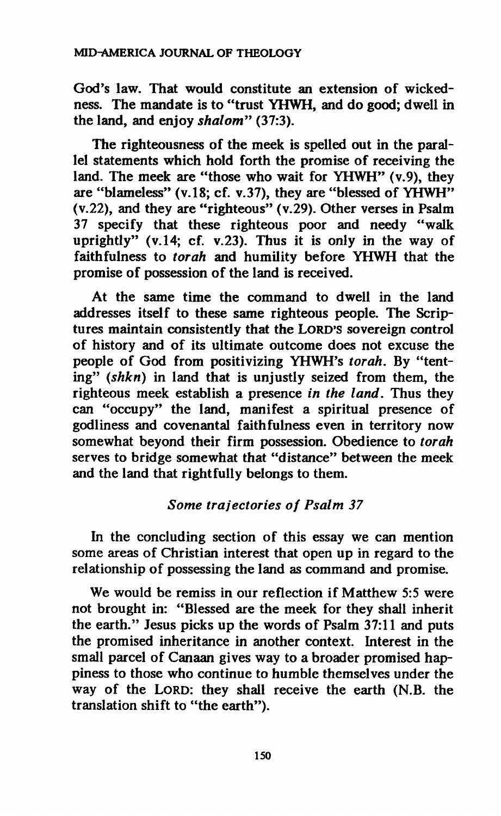**God's law. That would constitute an extension of wickedness. The mandate is to "trust YHWH, and do good; dwell in the land, and enjoy** *shalom"* **(37:3).** 

**The righteousness of the meek is spelled out in the parallel statements which hold forth the promise of receiving the land. The meek are "those who wait for YHWH" (v.9), they are "blameless" (v.18; cf. v.37), they are "blessed of YHWH" (v.22), and they are "righteous" (v.29). Other verses in Psalm 37 specify that these righteous poor and needy "walk uprightly" (v. 14; cf. v.23). Thus it is only in the way of faithfulness to** *torah* **and humility before YHWH that the promise of possession of the land is received.** 

**At the same time the command to dwell in the land addresses itself to these same righteous people. The Scriptures maintain consistently that the LORD'S sovereign control of history and of its ultimate outcome does not excuse the people of God from positivizing YHWH's** *torah.* **By "tenting"** *(shkn)* **in land that is unjustly seized from them, the righteous meek establish a presence** *in the land.* **Thus they can "occupy" the land, manifest a spiritual presence of godliness and covenantal faithfulness even in territory now somewhat beyond their firm possession. Obedience to** *torah*  **serves to bridge somewhat that "distance" between the meek and the land that rightfully belongs to them.** 

### *Some trajectories of Psalm 37*

**In the concluding section of this essay we can mention some areas of Christian interest that open up in regard to the relationship of possessing the land as command and promise.** 

**We would be remiss in our reflection if Matthew 5:5 were not brought in: "Blessed are the meek for they shall inherit the earth." Jesus picks up the words of Psalm 37:11 and puts the promised inheritance in another context. Interest in the small parcel of Canaan gives way to a broader promised happiness to those who continue to humble themselves under the way of the LORD: they shall receive the earth (N.B. the translation shift to "the earth").**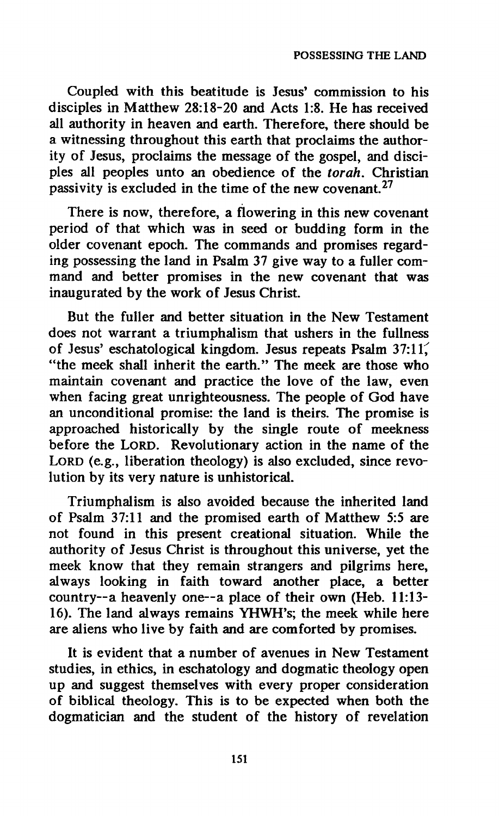**Coupled with this beatitude is Jesus' commission to his disciples in Matthew 28:18-20 and Acts 1:8. He has received all authority in heaven and earth. Therefore, there should be a witnessing throughout this earth that proclaims the authority of Jesus, proclaims the message of the gospel, and disciples all peoples unto an obedience of the** *torah.* **Christian passivity is excluded in the time of the new covenant.<sup>27</sup>**

**There is now, therefore, a flowering in this new covenant period of that which was in seed or budding form in the older covenant epoch. The commands and promises regarding possessing the land in Psalm 37 give way to a fuller command and better promises in the new covenant that was inaugurated by the work of Jesus Christ.** 

**But the fuller and better situation in the New Testament does not warrant a triumphalism that ushers in the fullness of Jesus' eschatological kingdom. Jesus repeats Psalm 37:11^ "the meek shall inherit the earth." The meek are those who maintain covenant and practice the love of the law, even when facing great unrighteousness. The people of God have an unconditional promise: the land is theirs. The promise is approached historically by the single route of meekness before the LORD. Revolutionary action in the name of the LORD (e.g., liberation theology) is also excluded, since revolution by its very nature is unhistorical.** 

**Triumphalism is also avoided because the inherited land of Psalm 37:11 and the promised earth of Matthew 5:5 are not found in this present creational situation. While the authority of Jesus Christ is throughout this universe, yet the meek know that they remain strangers and pilgrims here, always looking in faith toward another place, a better**  country--a heavenly one--a place of their own (Heb. 11:13-16). The land always remains YHWH's; the meek while here **are aliens who live by faith and are comforted by promises.** 

**It is evident that a number of avenues in New Testament studies, in ethics, in eschatology and dogmatic theology open up and suggest themselves with every proper consideration of biblical theology. This is to be expected when both the dogmatician and the student of the history of revelation**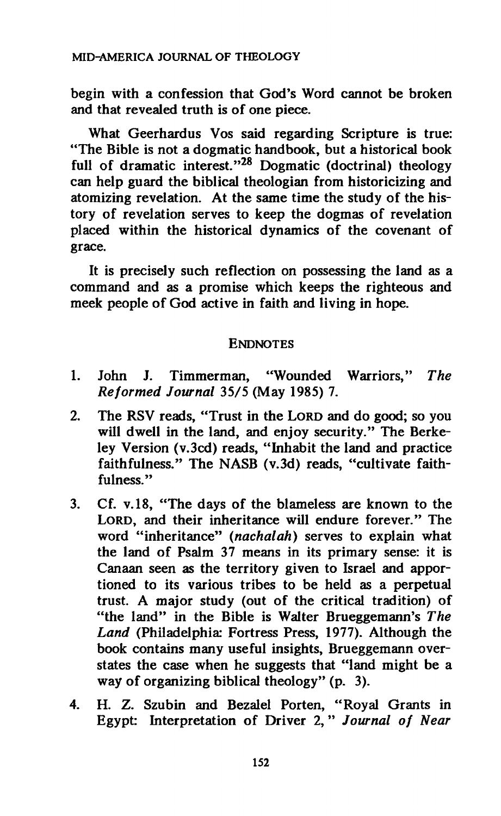**begin with a confession that God's Word cannot be broken and that revealed truth is of one piece.** 

**What Geerhardus Vos said regarding Scripture is true: "The Bible is not a dogmatic handbook, but a historical book full of dramatic interest."<sup>28</sup> Dogmatic (doctrinal) theology can help guard the biblical theologian from historicizing and atomizing revelation. At the same time the study of the history of revelation serves to keep the dogmas of revelation placed within the historical dynamics of the covenant of grace.** 

**It is precisely such reflection on possessing the land as a command and as a promise which keeps the righteous and meek people of God active in faith and living in hope.** 

#### **ENDNOTES**

- **1. John J. Timmerman, "Wounded Warriors,"** *The Reformed Journal* **35/5 (May 1985) 7.**
- **2. The RSV reads, "Trust in the LORD and do good; so you will dwell in the land, and enjoy security." The Berkeley Version (v.3cd) reads, "Inhabit the land and practice faithfulness." The NASB (v.3d) reads, "cultivate faithfulness."**
- **3. Cf. V.18, "The days of the blameless are known to the LORD, and their inheritance will endure forever." The word "inheritance"** *(nachalah)* **serves to explain what the land of Psalm 37 means in its primary sense: it is Canaan seen as the territory given to Israel and apportioned to its various tribes to be held as a perpetual trust. A major study (out of the critical tradition) of "the land" in the Bible is Walter Brueggemann's** *The Land* **(Philadelphia\* Fortress Press, 1977). Although the book contains many useful insights, Brueggemann overstates the case when he suggests that "land might be a way of organizing biblical theology" (p. 3).**
- **4. H. Z. Szubin and Bezalel Porten, "Royal Grants in Egypt: Interpretation of Driver 2, "** *Journal of Near*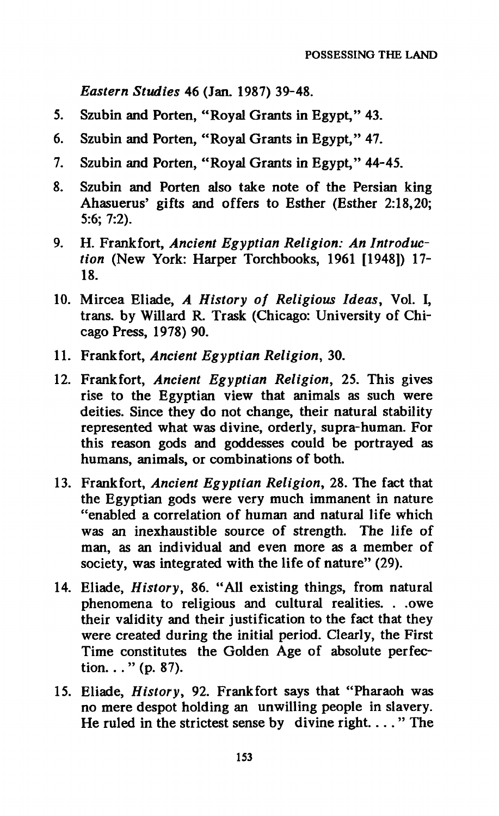*Eastern Studies* **46 (Jan. 1987) 39-48.** 

- **5. Szubin and Porten, "Royal Grants in Egypt," 43.**
- **6. Szubin and Porten, "Royal Grants in Egypt," 47.**
- **7. Szubin and Porten, "Royal Grants in Egypt," 44-45.**
- **8. Szubin and Porten also take note of the Persian king Ahasuerus' gifts and offers to Esther (Esther 2:18,20; 5:6; 7:2).**
- **9. H. Frankfort,** *Ancient Egyptian Religion: An Introduction* **(New York: Harper Torchbooks, 1961 [1948]) Π-Ι 8.**
- **10. Mircea Eliade,** *A History of Religious Ideas,* **Vol. I, trans, by Willard R. Trask (Chicago: University of Chicago Press, 1978) 90.**
- **11. Frankfort,** *Ancient Egyptian Religion,* **30.**
- **12. Frankfort,** *Ancient Egyptian Religion,* **25. This gives rise to the Egyptian view that animals as such were deities. Since they do not change, their natural stability represented what was divine, orderly, supra-human. For this reason gods and goddesses could be portrayed as humans, animals, or combinations of both.**
- **13. Frankfort,** *Ancient Egyptian Religion,* **28. The fact that the Egyptian gods were very much immanent in nature "enabled a correlation of human and natural life which was an inexhaustible source of strength. The life of man, as an individual and even more as a member of society, was integrated with the life of nature" (29).**
- **14. Eliade,** *History,* **86. "All existing things, from natural phenomena to religious and cultural realities. . .owe their validity and their justification to the fact that they were created during the initial period. Clearly, the First Time constitutes the Golden Age of absolute perfection. . . " (p. 87).**
- **15. Eliade,** *History,* **92. Frankfort says that "Pharaoh was no mere despot holding an unwilling people in slavery. He ruled in the strictest sense by divine right...." The**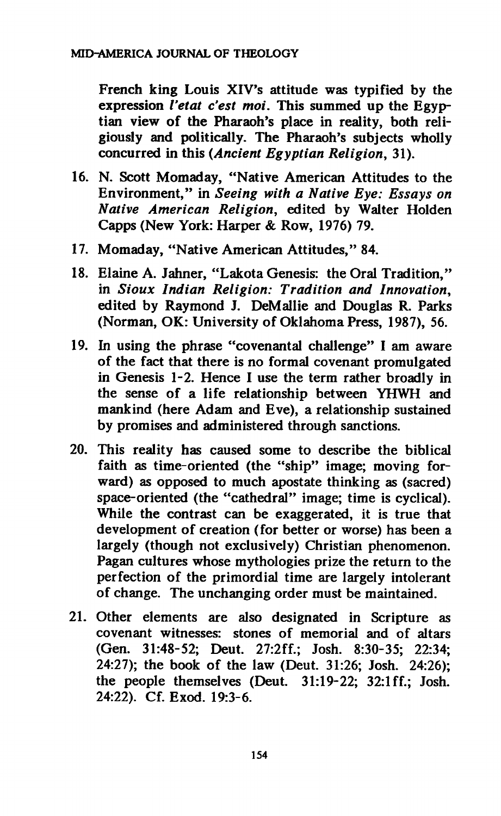**French king Louis XIV's attitude was typified by the expression** *Vetat c'est moi.* **This summed up the Egyptian view of the Pharaoh's place in reality, both religiously and politically. The Pharaoh's subjects wholly concurred in this** *(Ancient Egyptian Religion,* **31).** 

- **16. N. Scott Momaday, "Native American Attitudes to the Environment," in** *Seeing with a Native Eye: Essays on Native American Religion,* **edited by Walter Holden Capps (New York: Harper & Row, 1976) 79.**
- **17. Momaday, "Native American Attitudes," 84.**
- **18. Elaine A. Jahner, "Lakota Genesis: the Oral Tradition," in** *Sioux Indian Religion: Tradition and Innovation,*  **edited by Raymond J. DeMallie and Douglas R. Parks (Norman, OK: University of Oklahoma Press, 1987), 56.**
- **19. In using the phrase "covenantal challenge" I am aware of the fact that there is no formal covenant promulgated in Genesis 1-2. Hence I use the term rather broadly in the sense of a life relationship between YHWH and mankind (here Adam and Eve), a relationship sustained by promises and administered through sanctions.**
- **20. This reality has caused some to describe the biblical faith as time-oriented (the "ship" image; moving forward) as opposed to much apostate thinking as (sacred) space-oriented (the "cathedral" image; time is cyclical). While the contrast can be exaggerated, it is true that development of creation (for better or worse) has been a largely (though not exclusively) Christian phenomenon. Pagan cultures whose mythologies prize the return to the perfection of the primordial time are largely intolerant of change. The unchanging order must be maintained.**
- **21. Other elements are also designated in Scripture as covenant witnesses: stones of memorial and of altars (Gen. 31:48-52; Deut. 27:2ff.; Josh. 8:30-35; 22:34; 24:27); the book of the law (Deut. 31:26; Josh. 24:26); the people themselves (Deut. 31:19-22; 32:1 ff.; Josh. 24:22). Cf. Exod. 19:3-6.**